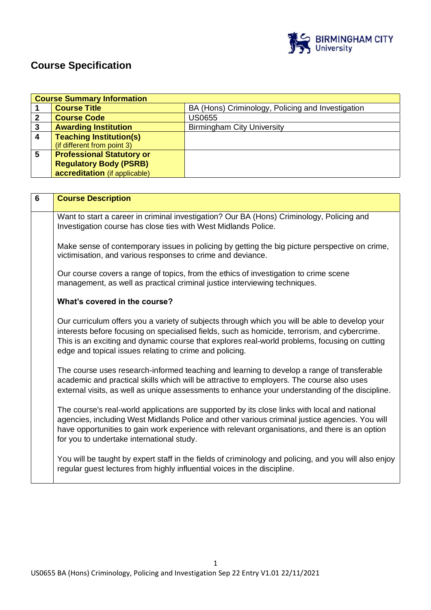

# **Course Specification**

|                | <b>Course Summary Information</b> |                                                   |  |  |
|----------------|-----------------------------------|---------------------------------------------------|--|--|
|                | <b>Course Title</b>               | BA (Hons) Criminology, Policing and Investigation |  |  |
| 2              | <b>Course Code</b>                | <b>US0655</b>                                     |  |  |
| 3              | <b>Awarding Institution</b>       | <b>Birmingham City University</b>                 |  |  |
| $\overline{4}$ | <b>Teaching Institution(s)</b>    |                                                   |  |  |
|                | (if different from point 3)       |                                                   |  |  |
| 5              | <b>Professional Statutory or</b>  |                                                   |  |  |
|                | <b>Regulatory Body (PSRB)</b>     |                                                   |  |  |
|                | accreditation (if applicable)     |                                                   |  |  |

| $6\phantom{1}6$ | <b>Course Description</b>                                                                                                                                                                                                                                                                                                                                   |
|-----------------|-------------------------------------------------------------------------------------------------------------------------------------------------------------------------------------------------------------------------------------------------------------------------------------------------------------------------------------------------------------|
|                 | Want to start a career in criminal investigation? Our BA (Hons) Criminology, Policing and<br>Investigation course has close ties with West Midlands Police.                                                                                                                                                                                                 |
|                 | Make sense of contemporary issues in policing by getting the big picture perspective on crime,<br>victimisation, and various responses to crime and deviance.                                                                                                                                                                                               |
|                 | Our course covers a range of topics, from the ethics of investigation to crime scene<br>management, as well as practical criminal justice interviewing techniques.                                                                                                                                                                                          |
|                 | What's covered in the course?                                                                                                                                                                                                                                                                                                                               |
|                 | Our curriculum offers you a variety of subjects through which you will be able to develop your<br>interests before focusing on specialised fields, such as homicide, terrorism, and cybercrime.<br>This is an exciting and dynamic course that explores real-world problems, focusing on cutting<br>edge and topical issues relating to crime and policing. |
|                 | The course uses research-informed teaching and learning to develop a range of transferable<br>academic and practical skills which will be attractive to employers. The course also uses<br>external visits, as well as unique assessments to enhance your understanding of the discipline.                                                                  |
|                 | The course's real-world applications are supported by its close links with local and national<br>agencies, including West Midlands Police and other various criminal justice agencies. You will<br>have opportunities to gain work experience with relevant organisations, and there is an option<br>for you to undertake international study.              |
|                 | You will be taught by expert staff in the fields of criminology and policing, and you will also enjoy<br>regular guest lectures from highly influential voices in the discipline.                                                                                                                                                                           |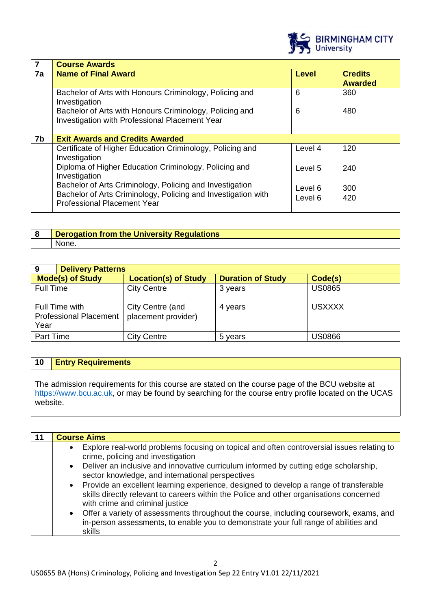

|                | <b>Course Awards</b>                                                                                                                                            |                    |                                  |  |
|----------------|-----------------------------------------------------------------------------------------------------------------------------------------------------------------|--------------------|----------------------------------|--|
| 7a             | <b>Name of Final Award</b>                                                                                                                                      | <b>Level</b>       | <b>Credits</b><br><b>Awarded</b> |  |
|                | Bachelor of Arts with Honours Criminology, Policing and<br>Investigation                                                                                        | 6                  | 360                              |  |
|                | Bachelor of Arts with Honours Criminology, Policing and<br>Investigation with Professional Placement Year                                                       | 6                  | 480                              |  |
| 7 <sub>b</sub> | <b>Exit Awards and Credits Awarded</b>                                                                                                                          |                    |                                  |  |
|                | Certificate of Higher Education Criminology, Policing and<br>Investigation                                                                                      | Level 4            | 120                              |  |
|                | Diploma of Higher Education Criminology, Policing and<br>Investigation                                                                                          | Level 5            | 240                              |  |
|                | Bachelor of Arts Criminology, Policing and Investigation<br>Bachelor of Arts Criminology, Policing and Investigation with<br><b>Professional Placement Year</b> | Level 6<br>Level 6 | 300<br>420                       |  |

| <u>n</u> | <b>Derogation from the University Regiven</b><br><b>ulations</b> |
|----------|------------------------------------------------------------------|
|          | None.                                                            |

| 9<br><b>Delivery Patterns</b>                           |                                         |                          |               |
|---------------------------------------------------------|-----------------------------------------|--------------------------|---------------|
| <b>Mode(s) of Study</b>                                 | <b>Location(s) of Study</b>             | <b>Duration of Study</b> | Code(s)       |
| <b>Full Time</b>                                        | <b>City Centre</b>                      | 3 years                  | <b>US0865</b> |
| Full Time with<br><b>Professional Placement</b><br>Year | City Centre (and<br>placement provider) | 4 years                  | <b>USXXXX</b> |
| Part Time                                               | City Centre                             | 5 years                  | US0866        |

# **10 Entry Requirements**

The admission requirements for this course are stated on the course page of the BCU website at [https://www.bcu.ac.uk,](https://www.bcu.ac.uk/) or may be found by searching for the course entry profile located on the UCAS website.

| <b>Course Aims</b>                                                                                                                                                                                                               |
|----------------------------------------------------------------------------------------------------------------------------------------------------------------------------------------------------------------------------------|
| Explore real-world problems focusing on topical and often controversial issues relating to<br>$\bullet$<br>crime, policing and investigation                                                                                     |
| Deliver an inclusive and innovative curriculum informed by cutting edge scholarship,<br>$\bullet$<br>sector knowledge, and international perspectives                                                                            |
| Provide an excellent learning experience, designed to develop a range of transferable<br>$\bullet$<br>skills directly relevant to careers within the Police and other organisations concerned<br>with crime and criminal justice |
| Offer a variety of assessments throughout the course, including coursework, exams, and<br>$\bullet$<br>in-person assessments, to enable you to demonstrate your full range of abilities and<br>skills                            |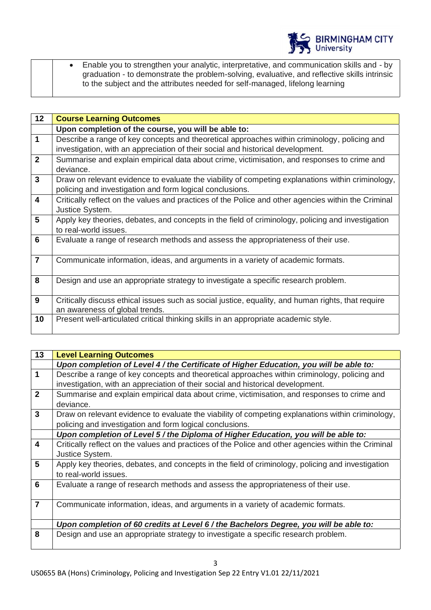

• Enable you to strengthen your analytic, interpretative, and communication skills and - by graduation - to demonstrate the problem-solving, evaluative, and reflective skills intrinsic to the subject and the attributes needed for self-managed, lifelong learning

| 12                      | <b>Course Learning Outcomes</b>                                                                     |
|-------------------------|-----------------------------------------------------------------------------------------------------|
|                         | Upon completion of the course, you will be able to:                                                 |
| $\overline{\mathbf{1}}$ | Describe a range of key concepts and theoretical approaches within criminology, policing and        |
|                         | investigation, with an appreciation of their social and historical development.                     |
| $\overline{2}$          | Summarise and explain empirical data about crime, victimisation, and responses to crime and         |
|                         | deviance.                                                                                           |
| $\mathbf{3}$            | Draw on relevant evidence to evaluate the viability of competing explanations within criminology,   |
|                         | policing and investigation and form logical conclusions.                                            |
| $\overline{4}$          | Critically reflect on the values and practices of the Police and other agencies within the Criminal |
|                         | Justice System.                                                                                     |
| $5\phantom{1}$          | Apply key theories, debates, and concepts in the field of criminology, policing and investigation   |
|                         | to real-world issues.                                                                               |
| $6\phantom{1}6$         | Evaluate a range of research methods and assess the appropriateness of their use.                   |
|                         |                                                                                                     |
| $\overline{7}$          | Communicate information, ideas, and arguments in a variety of academic formats.                     |
|                         |                                                                                                     |
| 8                       | Design and use an appropriate strategy to investigate a specific research problem.                  |
|                         |                                                                                                     |
| 9                       | Critically discuss ethical issues such as social justice, equality, and human rights, that require  |
|                         | an awareness of global trends.                                                                      |
| 10                      | Present well-articulated critical thinking skills in an appropriate academic style.                 |
|                         |                                                                                                     |

| 13             | <b>Level Learning Outcomes</b>                                                                      |
|----------------|-----------------------------------------------------------------------------------------------------|
|                | Upon completion of Level 4 / the Certificate of Higher Education, you will be able to:              |
| $\overline{1}$ | Describe a range of key concepts and theoretical approaches within criminology, policing and        |
|                | investigation, with an appreciation of their social and historical development.                     |
| $\overline{2}$ | Summarise and explain empirical data about crime, victimisation, and responses to crime and         |
|                | deviance.                                                                                           |
| $\mathbf{3}$   | Draw on relevant evidence to evaluate the viability of competing explanations within criminology,   |
|                | policing and investigation and form logical conclusions.                                            |
|                | Upon completion of Level 5 / the Diploma of Higher Education, you will be able to:                  |
| $\overline{4}$ | Critically reflect on the values and practices of the Police and other agencies within the Criminal |
|                | Justice System.                                                                                     |
| 5              | Apply key theories, debates, and concepts in the field of criminology, policing and investigation   |
|                | to real-world issues.                                                                               |
| 6              | Evaluate a range of research methods and assess the appropriateness of their use.                   |
|                |                                                                                                     |
| $\overline{7}$ | Communicate information, ideas, and arguments in a variety of academic formats.                     |
|                |                                                                                                     |
|                | Upon completion of 60 credits at Level 6 / the Bachelors Degree, you will be able to:               |
| 8              | Design and use an appropriate strategy to investigate a specific research problem.                  |
|                |                                                                                                     |

3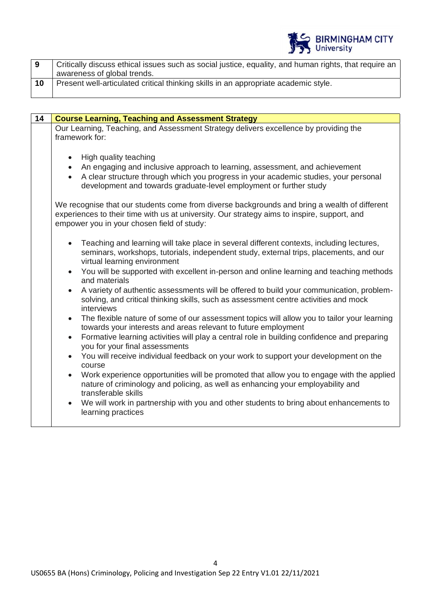

|    | Critically discuss ethical issues such as social justice, equality, and human rights, that require an |
|----|-------------------------------------------------------------------------------------------------------|
|    | awareness of global trends.                                                                           |
| 10 | Present well-articulated critical thinking skills in an appropriate academic style.                   |

| 14 | <b>Course Learning, Teaching and Assessment Strategy</b>                                                                                                                                                                                                                                     |
|----|----------------------------------------------------------------------------------------------------------------------------------------------------------------------------------------------------------------------------------------------------------------------------------------------|
|    | Our Learning, Teaching, and Assessment Strategy delivers excellence by providing the<br>framework for:                                                                                                                                                                                       |
|    | High quality teaching<br>$\bullet$<br>An engaging and inclusive approach to learning, assessment, and achievement<br>$\bullet$<br>A clear structure through which you progress in your academic studies, your personal<br>development and towards graduate-level employment or further study |
|    | We recognise that our students come from diverse backgrounds and bring a wealth of different<br>experiences to their time with us at university. Our strategy aims to inspire, support, and<br>empower you in your chosen field of study:                                                    |
|    | Teaching and learning will take place in several different contexts, including lectures,<br>seminars, workshops, tutorials, independent study, external trips, placements, and our<br>virtual learning environment                                                                           |
|    | You will be supported with excellent in-person and online learning and teaching methods<br>$\bullet$<br>and materials                                                                                                                                                                        |
|    | A variety of authentic assessments will be offered to build your communication, problem-<br>solving, and critical thinking skills, such as assessment centre activities and mock<br>interviews                                                                                               |
|    | The flexible nature of some of our assessment topics will allow you to tailor your learning<br>$\bullet$<br>towards your interests and areas relevant to future employment                                                                                                                   |
|    | Formative learning activities will play a central role in building confidence and preparing<br>$\bullet$<br>you for your final assessments                                                                                                                                                   |
|    | You will receive individual feedback on your work to support your development on the<br>$\bullet$<br>course                                                                                                                                                                                  |
|    | Work experience opportunities will be promoted that allow you to engage with the applied<br>$\bullet$<br>nature of criminology and policing, as well as enhancing your employability and<br>transferable skills                                                                              |
|    | We will work in partnership with you and other students to bring about enhancements to<br>learning practices                                                                                                                                                                                 |
|    |                                                                                                                                                                                                                                                                                              |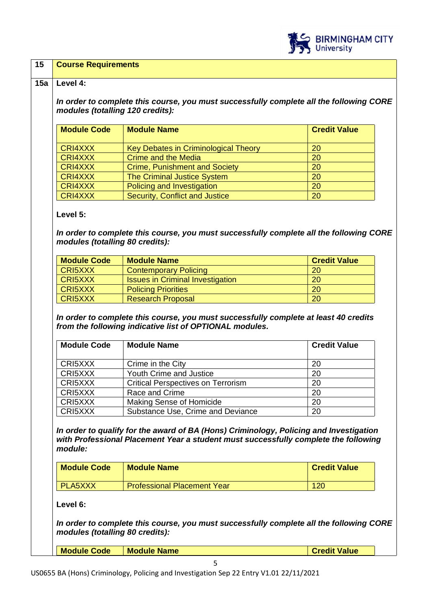

#### **15 Course Requirements**

#### **15a Level 4:**

*In order to complete this course, you must successfully complete all the following CORE modules (totalling 120 credits):*

| <b>Module Code</b> | <b>Module Name</b>                   | <b>Credit Value</b> |
|--------------------|--------------------------------------|---------------------|
| <b>CRI4XXX</b>     | Key Debates in Criminological Theory | 20                  |
| <b>CRI4XXX</b>     | Crime and the Media                  | 20                  |
| <b>CRI4XXX</b>     | <b>Crime, Punishment and Society</b> | 20                  |
| <b>CRI4XXX</b>     | <b>The Criminal Justice System</b>   | 20                  |
| <b>CRI4XXX</b>     | Policing and Investigation           | 20                  |
| <b>CRI4XXX</b>     | Security, Conflict and Justice       | 20                  |

**Level 5:**

*In order to complete this course, you must successfully complete all the following CORE modules (totalling 80 credits):*

| <b>Module Code</b> | <b>Module Name</b>                      | <b>Credit Value</b> |
|--------------------|-----------------------------------------|---------------------|
| <b>CRI5XXX</b>     | <b>Contemporary Policing</b>            | <b>20</b>           |
| <b>CRI5XXX</b>     | <b>Issues in Criminal Investigation</b> | <b>20</b>           |
| <b>CRI5XXX</b>     | <b>Policing Priorities</b>              | <b>20</b>           |
| <b>CRI5XXX</b>     | <b>Research Proposal</b>                | 20                  |

*In order to complete this course, you must successfully complete at least 40 credits from the following indicative list of OPTIONAL modules.* 

| <b>Module Code</b> | <b>Module Name</b>                        | <b>Credit Value</b> |
|--------------------|-------------------------------------------|---------------------|
| CRI5XXX            | Crime in the City                         | 20                  |
| CRI5XXX            | Youth Crime and Justice                   | 20                  |
| CRI5XXX            | <b>Critical Perspectives on Terrorism</b> | 20                  |
| CRI5XXX            | Race and Crime                            | -20                 |
| CRI5XXX            | Making Sense of Homicide                  | -20                 |
| CRI5XXX            | Substance Use, Crime and Deviance         | 20                  |

*In order to qualify for the award of BA (Hons) Criminology, Policing and Investigation with Professional Placement Year a student must successfully complete the following module:*

| <b>Module Code</b> | <b>Module Name</b>                 | <b>Credit Value</b> |
|--------------------|------------------------------------|---------------------|
| <b>PLA5XXX</b>     | <b>Professional Placement Year</b> | 120                 |

**Level 6:**

*In order to complete this course, you must successfully complete all the following CORE modules (totalling 80 credits):*

**Credit Value**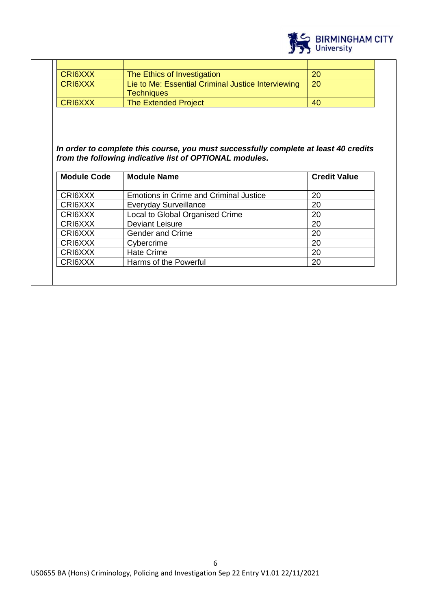

| CRI6XXX | The Ethics of Investigation                        | 20        |
|---------|----------------------------------------------------|-----------|
| CRI6XXX | Lie to Me: Essential Criminal Justice Interviewing | <b>20</b> |
|         | <b>Techniques</b>                                  |           |
| CRI6XXX | <b>The Extended Project</b>                        | 40        |

### *In order to complete this course, you must successfully complete at least 40 credits from the following indicative list of OPTIONAL modules.*

| <b>Module Code</b> | <b>Module Name</b>                            | <b>Credit Value</b> |
|--------------------|-----------------------------------------------|---------------------|
| CRI6XXX            | <b>Emotions in Crime and Criminal Justice</b> | 20                  |
| CRI6XXX            | <b>Everyday Surveillance</b>                  | 20                  |
| CRI6XXX            | Local to Global Organised Crime               | 20                  |
| CRI6XXX            | <b>Deviant Leisure</b>                        | 20                  |
| CRI6XXX            | <b>Gender and Crime</b>                       | 20                  |
| CRI6XXX            | Cybercrime                                    | 20                  |
| CRI6XXX            | <b>Hate Crime</b>                             | 20                  |
| CRI6XXX            | Harms of the Powerful                         | 20                  |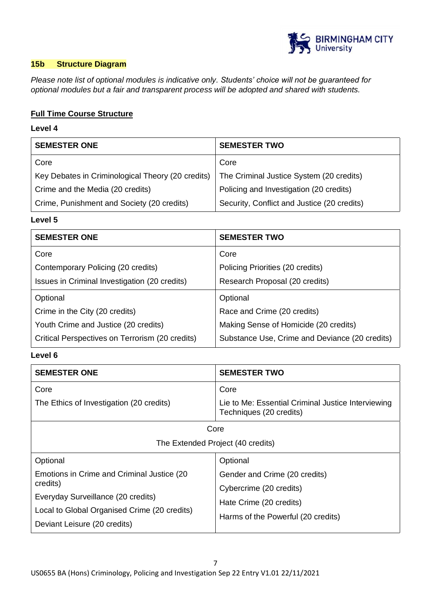

# **15b Structure Diagram**

*Please note list of optional modules is indicative only. Students' choice will not be guaranteed for optional modules but a fair and transparent process will be adopted and shared with students.*

# **Full Time Course Structure**

# **Level 4**

| <b>SEMESTER ONE</b>                               | <b>SEMESTER TWO</b>                         |
|---------------------------------------------------|---------------------------------------------|
| Core                                              | Core                                        |
| Key Debates in Criminological Theory (20 credits) | The Criminal Justice System (20 credits)    |
| Crime and the Media (20 credits)                  | Policing and Investigation (20 credits)     |
| Crime, Punishment and Society (20 credits)        | Security, Conflict and Justice (20 credits) |

#### **Level 5**

| <b>SEMESTER ONE</b>                             | <b>SEMESTER TWO</b>                            |
|-------------------------------------------------|------------------------------------------------|
| Core                                            | Core                                           |
| Contemporary Policing (20 credits)              | Policing Priorities (20 credits)               |
| Issues in Criminal Investigation (20 credits)   | Research Proposal (20 credits)                 |
| Optional                                        | Optional                                       |
| Crime in the City (20 credits)                  | Race and Crime (20 credits)                    |
| Youth Crime and Justice (20 credits)            | Making Sense of Homicide (20 credits)          |
| Critical Perspectives on Terrorism (20 credits) | Substance Use, Crime and Deviance (20 credits) |

# **Level 6**

| <b>SEMESTER ONE</b>                                                                                                                                                                       | <b>SEMESTER TWO</b>                                                                                                                   |  |
|-------------------------------------------------------------------------------------------------------------------------------------------------------------------------------------------|---------------------------------------------------------------------------------------------------------------------------------------|--|
| Core<br>The Ethics of Investigation (20 credits)                                                                                                                                          | Core<br>Lie to Me: Essential Criminal Justice Interviewing<br>Techniques (20 credits)                                                 |  |
| Core<br>The Extended Project (40 credits)                                                                                                                                                 |                                                                                                                                       |  |
| Optional<br>Emotions in Crime and Criminal Justice (20)<br>credits)<br>Everyday Surveillance (20 credits)<br>Local to Global Organised Crime (20 credits)<br>Deviant Leisure (20 credits) | Optional<br>Gender and Crime (20 credits)<br>Cybercrime (20 credits)<br>Hate Crime (20 credits)<br>Harms of the Powerful (20 credits) |  |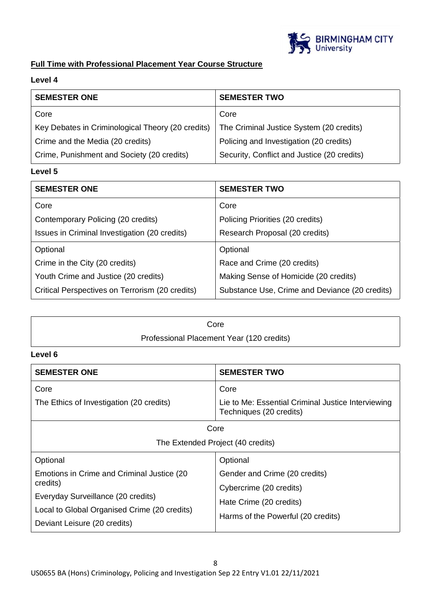

# **Full Time with Professional Placement Year Course Structure**

# **Level 4**

| <b>SEMESTER ONE</b>                               | <b>SEMESTER TWO</b>                         |
|---------------------------------------------------|---------------------------------------------|
| Core                                              | Core                                        |
| Key Debates in Criminological Theory (20 credits) | The Criminal Justice System (20 credits)    |
| Crime and the Media (20 credits)                  | Policing and Investigation (20 credits)     |
| Crime, Punishment and Society (20 credits)        | Security, Conflict and Justice (20 credits) |

# **Level 5**

| <b>SEMESTER ONE</b>                             | <b>SEMESTER TWO</b>                            |
|-------------------------------------------------|------------------------------------------------|
| Core                                            | Core                                           |
| Contemporary Policing (20 credits)              | Policing Priorities (20 credits)               |
| Issues in Criminal Investigation (20 credits)   | Research Proposal (20 credits)                 |
| Optional                                        | Optional                                       |
| Crime in the City (20 credits)                  | Race and Crime (20 credits)                    |
| Youth Crime and Justice (20 credits)            | Making Sense of Homicide (20 credits)          |
| Critical Perspectives on Terrorism (20 credits) | Substance Use, Crime and Deviance (20 credits) |

| Core                                      |  |
|-------------------------------------------|--|
| Professional Placement Year (120 credits) |  |

# **Level 6**

| <b>SEMESTER ONE</b>                                                                                                                                                           | <b>SEMESTER TWO</b>                                                                                                       |  |
|-------------------------------------------------------------------------------------------------------------------------------------------------------------------------------|---------------------------------------------------------------------------------------------------------------------------|--|
| Core<br>The Ethics of Investigation (20 credits)                                                                                                                              | Core<br>Lie to Me: Essential Criminal Justice Interviewing<br>Techniques (20 credits)                                     |  |
| Core<br>The Extended Project (40 credits)                                                                                                                                     |                                                                                                                           |  |
| Optional                                                                                                                                                                      | Optional                                                                                                                  |  |
| Emotions in Crime and Criminal Justice (20)<br>credits)<br>Everyday Surveillance (20 credits)<br>Local to Global Organised Crime (20 credits)<br>Deviant Leisure (20 credits) | Gender and Crime (20 credits)<br>Cybercrime (20 credits)<br>Hate Crime (20 credits)<br>Harms of the Powerful (20 credits) |  |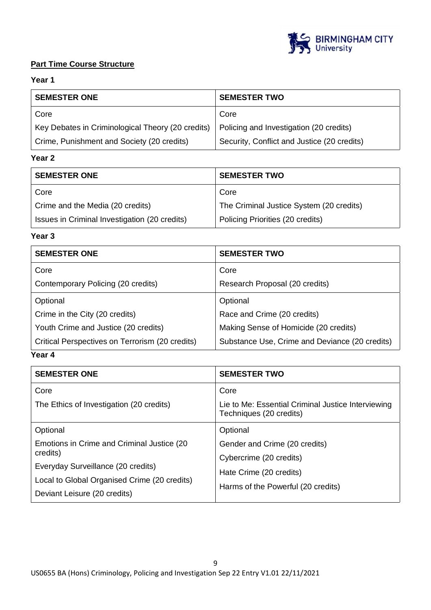

# **Part Time Course Structure**

# **Year 1**

| <b>SEMESTER ONE</b>                               | <b>SEMESTER TWO</b>                         |
|---------------------------------------------------|---------------------------------------------|
| Core                                              | Core                                        |
| Key Debates in Criminological Theory (20 credits) | Policing and Investigation (20 credits)     |
| Crime, Punishment and Society (20 credits)        | Security, Conflict and Justice (20 credits) |

# **Year 2**

| <b>SEMESTER ONE</b>                           | <b>SEMESTER TWO</b>                      |
|-----------------------------------------------|------------------------------------------|
| Core                                          | Core                                     |
| Crime and the Media (20 credits)              | The Criminal Justice System (20 credits) |
| Issues in Criminal Investigation (20 credits) | Policing Priorities (20 credits)         |

#### **Year 3**

| <b>SEMESTER ONE</b>                             | <b>SEMESTER TWO</b>                            |
|-------------------------------------------------|------------------------------------------------|
| Core                                            | Core                                           |
| Contemporary Policing (20 credits)              | Research Proposal (20 credits)                 |
| Optional                                        | Optional                                       |
| Crime in the City (20 credits)                  | Race and Crime (20 credits)                    |
| Youth Crime and Justice (20 credits)            | Making Sense of Homicide (20 credits)          |
| Critical Perspectives on Terrorism (20 credits) | Substance Use, Crime and Deviance (20 credits) |

# **Year 4**

| <b>SEMESTER ONE</b>                                                                | <b>SEMESTER TWO</b>                                                                   |
|------------------------------------------------------------------------------------|---------------------------------------------------------------------------------------|
| Core<br>The Ethics of Investigation (20 credits)                                   | Core<br>Lie to Me: Essential Criminal Justice Interviewing<br>Techniques (20 credits) |
| Optional                                                                           | Optional                                                                              |
| Emotions in Crime and Criminal Justice (20)<br>credits)                            | Gender and Crime (20 credits)<br>Cybercrime (20 credits)                              |
| Everyday Surveillance (20 credits)<br>Local to Global Organised Crime (20 credits) | Hate Crime (20 credits)<br>Harms of the Powerful (20 credits)                         |
| Deviant Leisure (20 credits)                                                       |                                                                                       |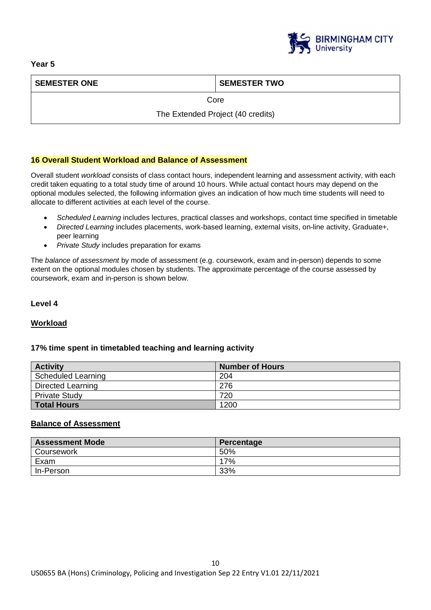

# **SEMESTER ONE SEMESTER TWO**

Core

The Extended Project (40 credits)

# **16 Overall Student Workload and Balance of Assessment**

Overall student *workload* consists of class contact hours, independent learning and assessment activity, with each credit taken equating to a total study time of around 10 hours. While actual contact hours may depend on the optional modules selected, the following information gives an indication of how much time students will need to allocate to different activities at each level of the course.

- *Scheduled Learning* includes lectures, practical classes and workshops, contact time specified in timetable
- *Directed Learning* includes placements, work-based learning, external visits, on-line activity, Graduate+, peer learning
- *Private Study* includes preparation for exams

The *balance of assessment* by mode of assessment (e.g. coursework, exam and in-person) depends to some extent on the optional modules chosen by students. The approximate percentage of the course assessed by coursework, exam and in-person is shown below.

#### **Level 4**

# **Workload**

# **17% time spent in timetabled teaching and learning activity**

| <b>Activity</b>      | <b>Number of Hours</b> |
|----------------------|------------------------|
| Scheduled Learning   | 204                    |
| Directed Learning    | 276                    |
| <b>Private Study</b> | 720                    |
| <b>Total Hours</b>   | 1200                   |

# **Balance of Assessment**

| <b>Assessment Mode</b> | Percentage |
|------------------------|------------|
| Coursework             | 50%        |
| Exam                   | 17%        |
| In-Person              | 33%        |

# **Year 5**